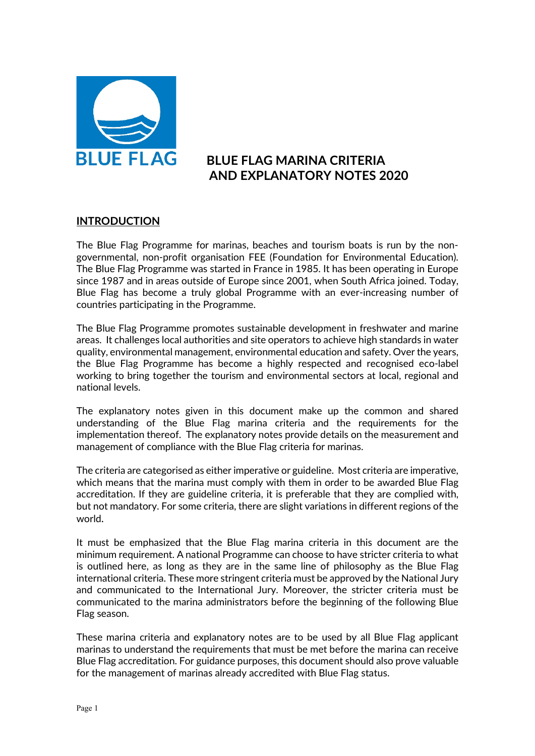

## **BLUE FLAG MARINA CRITERIA AND EXPLANATORY NOTES 2020**

#### **INTRODUCTION**

The Blue Flag Programme for marinas, beaches and tourism boats is run by the nongovernmental, non-profit organisation FEE (Foundation for Environmental Education). The Blue Flag Programme was started in France in 1985. It has been operating in Europe since 1987 and in areas outside of Europe since 2001, when South Africa joined. Today, Blue Flag has become a truly global Programme with an ever-increasing number of countries participating in the Programme.

The Blue Flag Programme promotes sustainable development in freshwater and marine areas. It challenges local authorities and site operators to achieve high standards in water quality, environmental management, environmental education and safety. Over the years, the Blue Flag Programme has become a highly respected and recognised eco-label working to bring together the tourism and environmental sectors at local, regional and national levels.

The explanatory notes given in this document make up the common and shared understanding of the Blue Flag marina criteria and the requirements for the implementation thereof. The explanatory notes provide details on the measurement and management of compliance with the Blue Flag criteria for marinas.

The criteria are categorised as either imperative or guideline. Most criteria are imperative, which means that the marina must comply with them in order to be awarded Blue Flag accreditation. If they are guideline criteria, it is preferable that they are complied with, but not mandatory. For some criteria, there are slight variations in different regions of the world.

It must be emphasized that the Blue Flag marina criteria in this document are the minimum requirement. A national Programme can choose to have stricter criteria to what is outlined here, as long as they are in the same line of philosophy as the Blue Flag international criteria. These more stringent criteria must be approved by the National Jury and communicated to the International Jury. Moreover, the stricter criteria must be communicated to the marina administrators before the beginning of the following Blue Flag season.

These marina criteria and explanatory notes are to be used by all Blue Flag applicant marinas to understand the requirements that must be met before the marina can receive Blue Flag accreditation. For guidance purposes, this document should also prove valuable for the management of marinas already accredited with Blue Flag status.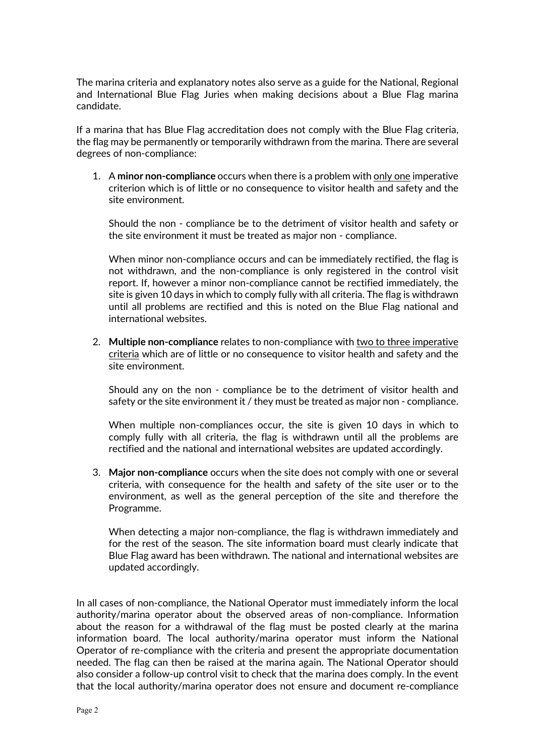The marina criteria and explanatory notes also serve as a guide for the National, Regional and International Blue Flag Juries when making decisions about a Blue Flag marina candidate.

If a marina that has Blue Flag accreditation does not comply with the Blue Flag criteria, the flag may be permanently or temporarily withdrawn from the marina. There are several degrees of non-compliance:

1. A **minor non-compliance** occurs when there is a problem with only one imperative criterion which is of little or no consequence to visitor health and safety and the site environment.

Should the non - compliance be to the detriment of visitor health and safety or the site environment it must be treated as major non - compliance.

When minor non-compliance occurs and can be immediately rectified, the flag is not withdrawn, and the non-compliance is only registered in the control visit report. If, however a minor non-compliance cannot be rectified immediately, the site is given 10 days in which to comply fully with all criteria. The flag is withdrawn until all problems are rectified and this is noted on the Blue Flag national and international websites.

2. **Multiple non-compliance** relates to non-compliance with two to three imperative criteria which are of little or no consequence to visitor health and safety and the site environment.

Should any on the non - compliance be to the detriment of visitor health and safety or the site environment it / they must be treated as major non - compliance.

When multiple non-compliances occur, the site is given 10 days in which to comply fully with all criteria, the flag is withdrawn until all the problems are rectified and the national and international websites are updated accordingly.

3. **Major non-compliance** occurs when the site does not comply with one or several criteria, with consequence for the health and safety of the site user or to the environment, as well as the general perception of the site and therefore the Programme.

When detecting a major non-compliance, the flag is withdrawn immediately and for the rest of the season. The site information board must clearly indicate that Blue Flag award has been withdrawn. The national and international websites are updated accordingly.

In all cases of non-compliance, the National Operator must immediately inform the local authority/marina operator about the observed areas of non-compliance. Information about the reason for a withdrawal of the flag must be posted clearly at the marina information board. The local authority/marina operator must inform the National Operator of re-compliance with the criteria and present the appropriate documentation needed. The flag can then be raised at the marina again. The National Operator should also consider a follow-up control visit to check that the marina does comply. In the event that the local authority/marina operator does not ensure and document re-compliance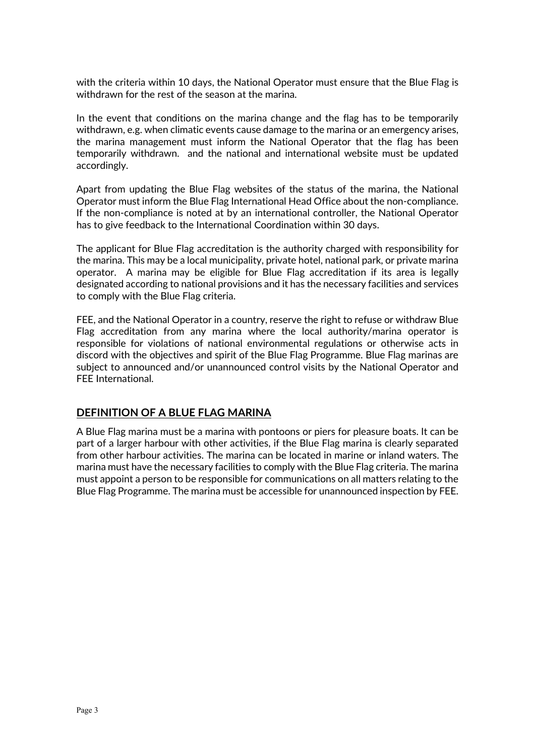with the criteria within 10 days, the National Operator must ensure that the Blue Flag is withdrawn for the rest of the season at the marina.

In the event that conditions on the marina change and the flag has to be temporarily withdrawn, e.g. when climatic events cause damage to the marina or an emergency arises, the marina management must inform the National Operator that the flag has been temporarily withdrawn. and the national and international website must be updated accordingly.

Apart from updating the Blue Flag websites of the status of the marina, the National Operator must inform the Blue Flag International Head Office about the non-compliance. If the non-compliance is noted at by an international controller, the National Operator has to give feedback to the International Coordination within 30 days.

The applicant for Blue Flag accreditation is the authority charged with responsibility for the marina. This may be a local municipality, private hotel, national park, or private marina operator. A marina may be eligible for Blue Flag accreditation if its area is legally designated according to national provisions and it has the necessary facilities and services to comply with the Blue Flag criteria.

FEE, and the National Operator in a country, reserve the right to refuse or withdraw Blue Flag accreditation from any marina where the local authority/marina operator is responsible for violations of national environmental regulations or otherwise acts in discord with the objectives and spirit of the Blue Flag Programme. Blue Flag marinas are subject to announced and/or unannounced control visits by the National Operator and FEE International.

## **DEFINITION OF A BLUE FLAG MARINA**

A Blue Flag marina must be a marina with pontoons or piers for pleasure boats. It can be part of a larger harbour with other activities, if the Blue Flag marina is clearly separated from other harbour activities. The marina can be located in marine or inland waters. The marina must have the necessary facilities to comply with the Blue Flag criteria. The marina must appoint a person to be responsible for communications on all matters relating to the Blue Flag Programme. The marina must be accessible for unannounced inspection by FEE.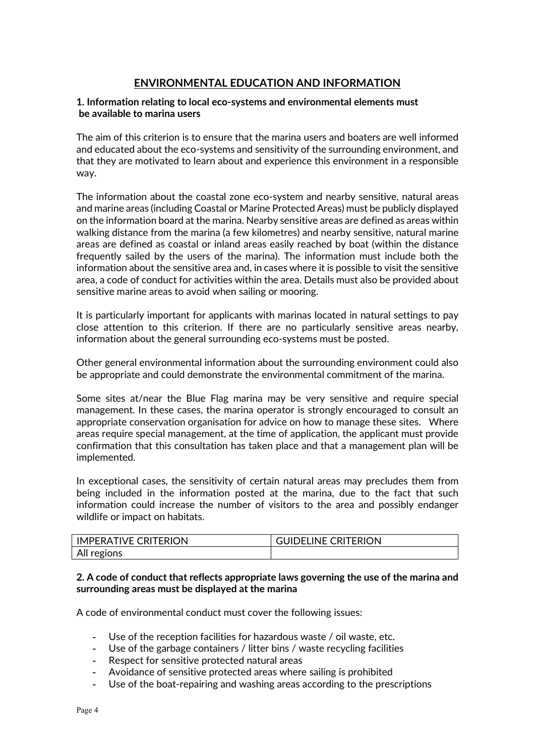## **ENVIRONMENTAL EDUCATION AND INFORMATION**

#### **1. Information relating to local eco-systems and environmental elements must be available to marina users**

The aim of this criterion is to ensure that the marina users and boaters are well informed and educated about the eco-systems and sensitivity of the surrounding environment, and that they are motivated to learn about and experience this environment in a responsible way.

The information about the coastal zone eco-system and nearby sensitive, natural areas and marine areas (including Coastal or Marine Protected Areas) must be publicly displayed on the information board at the marina. Nearby sensitive areas are defined as areas within walking distance from the marina (a few kilometres) and nearby sensitive, natural marine areas are defined as coastal or inland areas easily reached by boat (within the distance frequently sailed by the users of the marina). The information must include both the information about the sensitive area and, in cases where it is possible to visit the sensitive area, a code of conduct for activities within the area. Details must also be provided about sensitive marine areas to avoid when sailing or mooring.

It is particularly important for applicants with marinas located in natural settings to pay close attention to this criterion. If there are no particularly sensitive areas nearby, information about the general surrounding eco-systems must be posted.

Other general environmental information about the surrounding environment could also be appropriate and could demonstrate the environmental commitment of the marina.

Some sites at/near the Blue Flag marina may be very sensitive and require special management. In these cases, the marina operator is strongly encouraged to consult an appropriate conservation organisation for advice on how to manage these sites. Where areas require special management, at the time of application, the applicant must provide confirmation that this consultation has taken place and that a management plan will be implemented.

In exceptional cases, the sensitivity of certain natural areas may precludes them from being included in the information posted at the marina, due to the fact that such information could increase the number of visitors to the area and possibly endanger wildlife or impact on habitats.

| <b>LIMPERATIVE CRITERION</b> | <b>GUIDELINE CRITERION</b> |
|------------------------------|----------------------------|
| All regions                  |                            |

#### **2. A code of conduct that reflects appropriate laws governing the use of the marina and surrounding areas must be displayed at the marina**

A code of environmental conduct must cover the following issues:

- Use of the reception facilities for hazardous waste / oil waste, etc.
- Use of the garbage containers / litter bins / waste recycling facilities
- Respect for sensitive protected natural areas
- Avoidance of sensitive protected areas where sailing is prohibited
- Use of the boat-repairing and washing areas according to the prescriptions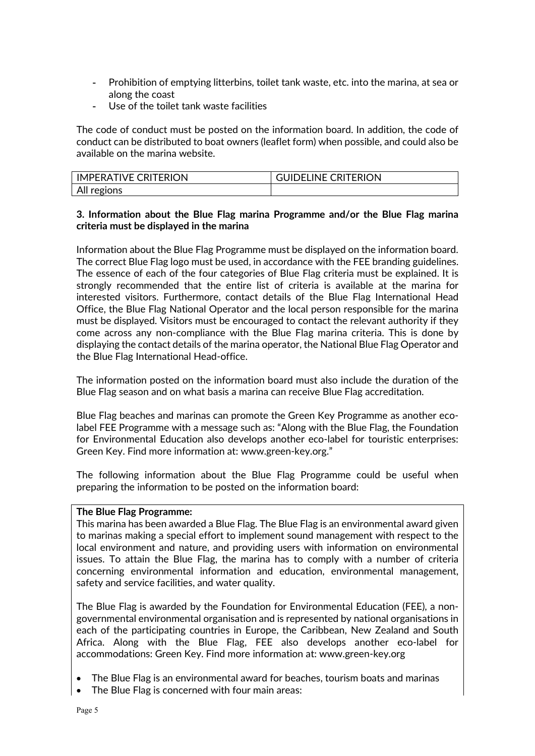- Prohibition of emptying litterbins, toilet tank waste, etc. into the marina, at sea or along the coast
- Use of the toilet tank waste facilities

The code of conduct must be posted on the information board. In addition, the code of conduct can be distributed to boat owners (leaflet form) when possible, and could also be available on the marina website.

| <b>IMPERATIVE CRITERION</b> | <b>GUIDELINE CRITERION</b> |
|-----------------------------|----------------------------|
| All regions                 |                            |

### **3. Information about the Blue Flag marina Programme and/or the Blue Flag marina criteria must be displayed in the marina**

Information about the Blue Flag Programme must be displayed on the information board. The correct Blue Flag logo must be used, in accordance with the FEE branding guidelines. The essence of each of the four categories of Blue Flag criteria must be explained. It is strongly recommended that the entire list of criteria is available at the marina for interested visitors. Furthermore, contact details of the Blue Flag International Head Office, the Blue Flag National Operator and the local person responsible for the marina must be displayed. Visitors must be encouraged to contact the relevant authority if they come across any non-compliance with the Blue Flag marina criteria. This is done by displaying the contact details of the marina operator, the National Blue Flag Operator and the Blue Flag International Head-office.

The information posted on the information board must also include the duration of the Blue Flag season and on what basis a marina can receive Blue Flag accreditation.

Blue Flag beaches and marinas can promote the Green Key Programme as another ecolabel FEE Programme with a message such as: "Along with the Blue Flag, the Foundation for Environmental Education also develops another eco-label for touristic enterprises: Green Key. Find more information at: [www.green-key.org.](http://www.green-key.org/)"

The following information about the Blue Flag Programme could be useful when preparing the information to be posted on the information board:

#### **The Blue Flag Programme:**

This marina has been awarded a Blue Flag. The Blue Flag is an environmental award given to marinas making a special effort to implement sound management with respect to the local environment and nature, and providing users with information on environmental issues. To attain the Blue Flag, the marina has to comply with a number of criteria concerning environmental information and education, environmental management, safety and service facilities, and water quality.

The Blue Flag is awarded by the Foundation for Environmental Education (FEE), a nongovernmental environmental organisation and is represented by national organisations in each of the participating countries in Europe, the Caribbean, New Zealand and South Africa. Along with the Blue Flag, FEE also develops another eco-label for accommodations: Green Key. Find more information at: www.green-key.org

- The Blue Flag is an environmental award for beaches, tourism boats and marinas
- The Blue Flag is concerned with four main areas: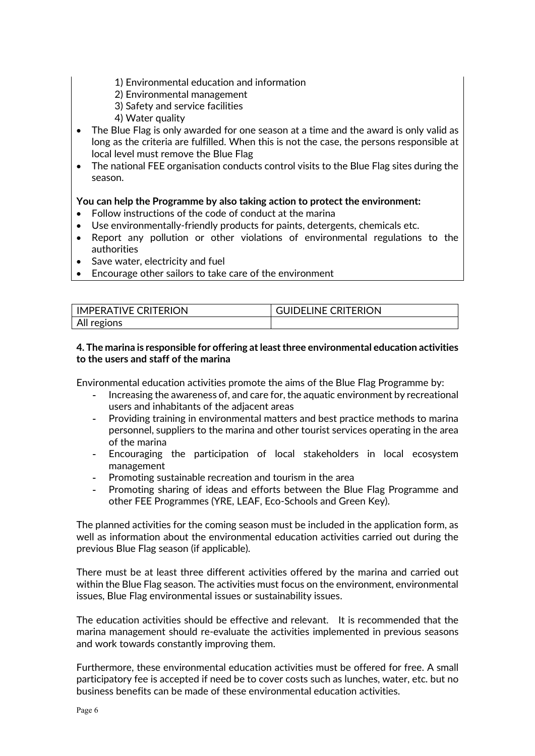- 1) Environmental education and information
- 2) Environmental management
- 3) Safety and service facilities
- 4) Water quality
- The Blue Flag is only awarded for one season at a time and the award is only valid as long as the criteria are fulfilled. When this is not the case, the persons responsible at local level must remove the Blue Flag
- The national FEE organisation conducts control visits to the Blue Flag sites during the season.

## **You can help the Programme by also taking action to protect the environment:**

- Follow instructions of the code of conduct at the marina
- Use environmentally-friendly products for paints, detergents, chemicals etc.
- Report any pollution or other violations of environmental regulations to the authorities
- Save water, electricity and fuel
- Encourage other sailors to take care of the environment

| <b>IMPERATIVE CRITERION</b> | <b>GUIDELINE CRITERION</b> |
|-----------------------------|----------------------------|
| All regions                 |                            |

### **4. The marina is responsible for offering at least three environmental education activities to the users and staff of the marina**

Environmental education activities promote the aims of the Blue Flag Programme by:

- Increasing the awareness of, and care for, the aquatic environment by recreational users and inhabitants of the adjacent areas
- Providing training in environmental matters and best practice methods to marina personnel, suppliers to the marina and other tourist services operating in the area of the marina
- Encouraging the participation of local stakeholders in local ecosystem management
- Promoting sustainable recreation and tourism in the area
- Promoting sharing of ideas and efforts between the Blue Flag Programme and other FEE Programmes (YRE, LEAF, Eco-Schools and Green Key).

The planned activities for the coming season must be included in the application form, as well as information about the environmental education activities carried out during the previous Blue Flag season (if applicable).

There must be at least three different activities offered by the marina and carried out within the Blue Flag season. The activities must focus on the environment, environmental issues, Blue Flag environmental issues or sustainability issues.

The education activities should be effective and relevant. It is recommended that the marina management should re-evaluate the activities implemented in previous seasons and work towards constantly improving them.

Furthermore, these environmental education activities must be offered for free. A small participatory fee is accepted if need be to cover costs such as lunches, water, etc. but no business benefits can be made of these environmental education activities.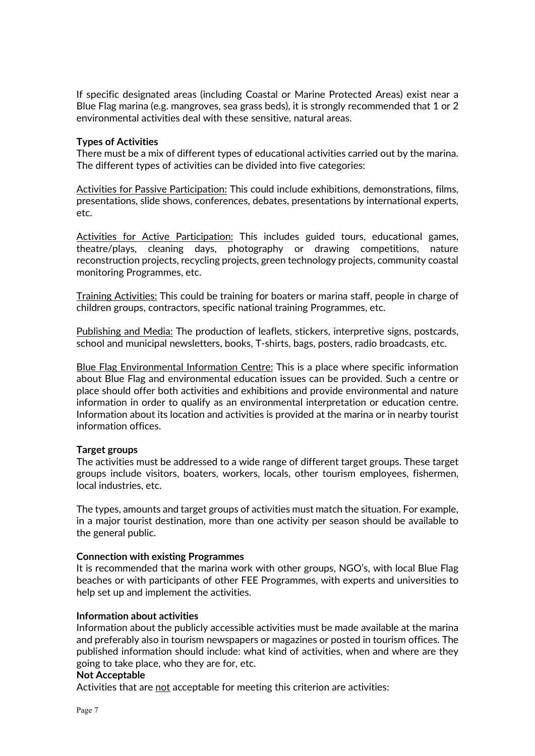If specific designated areas (including Coastal or Marine Protected Areas) exist near a Blue Flag marina (e.g. mangroves, sea grass beds), it is strongly recommended that 1 or 2 environmental activities deal with these sensitive, natural areas.

#### **Types of Activities**

There must be a mix of different types of educational activities carried out by the marina. The different types of activities can be divided into five categories:

Activities for Passive Participation: This could include exhibitions, demonstrations, films, presentations, slide shows, conferences, debates, presentations by international experts, etc.

Activities for Active Participation: This includes guided tours, educational games, theatre/plays, cleaning days, photography or drawing competitions, nature reconstruction projects, recycling projects, green technology projects, community coastal monitoring Programmes, etc.

Training Activities: This could be training for boaters or marina staff, people in charge of children groups, contractors, specific national training Programmes, etc.

Publishing and Media: The production of leaflets, stickers, interpretive signs, postcards, school and municipal newsletters, books, T-shirts, bags, posters, radio broadcasts, etc.

Blue Flag Environmental Information Centre: This is a place where specific information about Blue Flag and environmental education issues can be provided. Such a centre or place should offer both activities and exhibitions and provide environmental and nature information in order to qualify as an environmental interpretation or education centre. Information about its location and activities is provided at the marina or in nearby tourist information offices.

#### **Target groups**

The activities must be addressed to a wide range of different target groups. These target groups include visitors, boaters, workers, locals, other tourism employees, fishermen, local industries, etc.

The types, amounts and target groups of activities must match the situation. For example, in a major tourist destination, more than one activity per season should be available to the general public.

#### **Connection with existing Programmes**

It is recommended that the marina work with other groups, NGO's, with local Blue Flag beaches or with participants of other FEE Programmes, with experts and universities to help set up and implement the activities.

#### **Information about activities**

Information about the publicly accessible activities must be made available at the marina and preferably also in tourism newspapers or magazines or posted in tourism offices. The published information should include: what kind of activities, when and where are they going to take place, who they are for, etc.

#### **Not Acceptable**

Activities that are not acceptable for meeting this criterion are activities: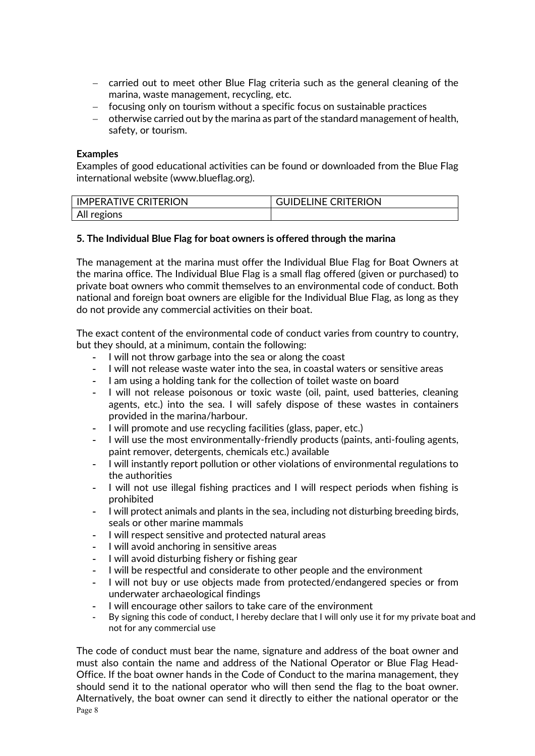- − carried out to meet other Blue Flag criteria such as the general cleaning of the marina, waste management, recycling, etc.
- − focusing only on tourism without a specific focus on sustainable practices
- − otherwise carried out by the marina as part of the standard management of health, safety, or tourism.

#### **Examples**

Examples of good educational activities can be found or downloaded from the Blue Flag international website (www.blueflag.org).

| <b>IMPERATIVE CRITERION</b> | <b>GUIDELINE CRITERION</b> |
|-----------------------------|----------------------------|
| All regions                 |                            |

#### **5. The Individual Blue Flag for boat owners is offered through the marina**

The management at the marina must offer the Individual Blue Flag for Boat Owners at the marina office. The Individual Blue Flag is a small flag offered (given or purchased) to private boat owners who commit themselves to an environmental code of conduct. Both national and foreign boat owners are eligible for the Individual Blue Flag, as long as they do not provide any commercial activities on their boat.

The exact content of the environmental code of conduct varies from country to country, but they should, at a minimum, contain the following:

- I will not throw garbage into the sea or along the coast
- I will not release waste water into the sea, in coastal waters or sensitive areas
- I am using a holding tank for the collection of toilet waste on board
- I will not release poisonous or toxic waste (oil, paint, used batteries, cleaning agents, etc.) into the sea. I will safely dispose of these wastes in containers provided in the marina/harbour.
- I will promote and use recycling facilities (glass, paper, etc.)
- I will use the most environmentally-friendly products (paints, anti-fouling agents, paint remover, detergents, chemicals etc.) available
- I will instantly report pollution or other violations of environmental regulations to the authorities
- I will not use illegal fishing practices and I will respect periods when fishing is prohibited
- I will protect animals and plants in the sea, including not disturbing breeding birds, seals or other marine mammals
- I will respect sensitive and protected natural areas
- I will avoid anchoring in sensitive areas
- I will avoid disturbing fishery or fishing gear
- I will be respectful and considerate to other people and the environment
- I will not buy or use objects made from protected/endangered species or from underwater archaeological findings
- I will encourage other sailors to take care of the environment
- By signing this code of conduct, I hereby declare that I will only use it for my private boat and not for any commercial use

Page 8 The code of conduct must bear the name, signature and address of the boat owner and must also contain the name and address of the National Operator or Blue Flag Head-Office. If the boat owner hands in the Code of Conduct to the marina management, they should send it to the national operator who will then send the flag to the boat owner. Alternatively, the boat owner can send it directly to either the national operator or the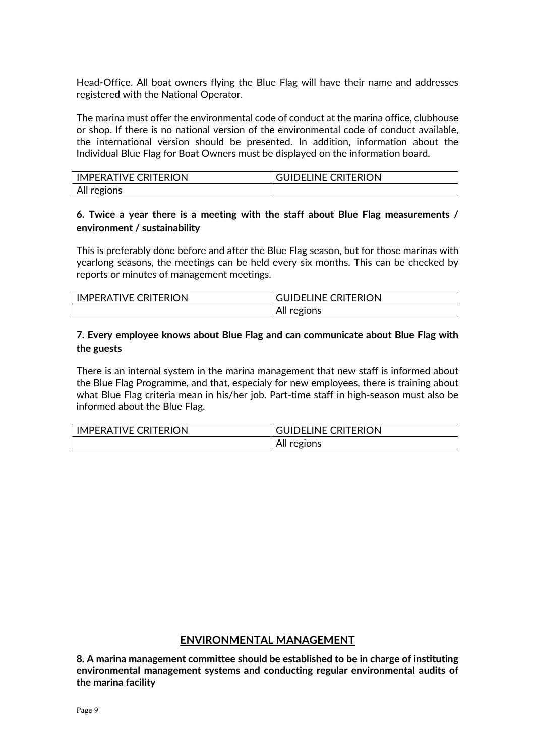Head-Office. All boat owners flying the Blue Flag will have their name and addresses registered with the National Operator.

The marina must offer the environmental code of conduct at the marina office, clubhouse or shop. If there is no national version of the environmental code of conduct available, the international version should be presented. In addition, information about the Individual Blue Flag for Boat Owners must be displayed on the information board.

| <b>IMPERATIVE CRITERION</b> | <b>GUIDELINE CRITERION</b> |
|-----------------------------|----------------------------|
| All regions                 |                            |

## **6. Twice a year there is a meeting with the staff about Blue Flag measurements / environment / sustainability**

This is preferably done before and after the Blue Flag season, but for those marinas with yearlong seasons, the meetings can be held every six months. This can be checked by reports or minutes of management meetings.

| <b>IMPERATIVE CRITERION</b> | <b>GUIDELINE CRITERION</b> |
|-----------------------------|----------------------------|
|                             | All regions                |

### **7. Every employee knows about Blue Flag and can communicate about Blue Flag with the guests**

There is an internal system in the marina management that new staff is informed about the Blue Flag Programme, and that, especialy for new employees, there is training about what Blue Flag criteria mean in his/her job. Part-time staff in high-season must also be informed about the Blue Flag.

| I IMPERATIVE CRITERION | <b>GUIDELINE CRITERION</b> |
|------------------------|----------------------------|
|                        | All<br>regions             |

#### **ENVIRONMENTAL MANAGEMENT**

**8. A marina management committee should be established to be in charge of instituting environmental management systems and conducting regular environmental audits of the marina facility**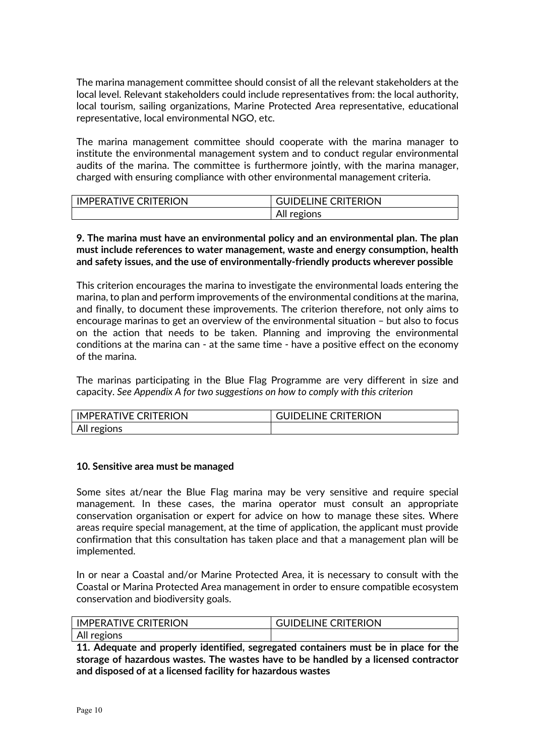The marina management committee should consist of all the relevant stakeholders at the local level. Relevant stakeholders could include representatives from: the local authority, local tourism, sailing organizations, Marine Protected Area representative, educational representative, local environmental NGO, etc.

The marina management committee should cooperate with the marina manager to institute the environmental management system and to conduct regular environmental audits of the marina. The committee is furthermore jointly, with the marina manager, charged with ensuring compliance with other environmental management criteria.

| <b>IMPERATIVE CRITERION</b> | <b>GUIDELINE CRITERION</b> |
|-----------------------------|----------------------------|
|                             | All regions                |

#### **9. The marina must have an environmental policy and an environmental plan. The plan must include references to water management, waste and energy consumption, health and safety issues, and the use of environmentally-friendly products wherever possible**

This criterion encourages the marina to investigate the environmental loads entering the marina, to plan and perform improvements of the environmental conditions at the marina, and finally, to document these improvements. The criterion therefore, not only aims to encourage marinas to get an overview of the environmental situation – but also to focus on the action that needs to be taken. Planning and improving the environmental conditions at the marina can - at the same time - have a positive effect on the economy of the marina.

The marinas participating in the Blue Flag Programme are very different in size and capacity. *See Appendix A for two suggestions on how to comply with this criterion*

| <b>IMPERATIVE CRITERION</b> | <b>GUIDELINE CRITERION</b> |
|-----------------------------|----------------------------|
| All regions                 |                            |

#### **10. Sensitive area must be managed**

Some sites at/near the Blue Flag marina may be very sensitive and require special management. In these cases, the marina operator must consult an appropriate conservation organisation or expert for advice on how to manage these sites. Where areas require special management, at the time of application, the applicant must provide confirmation that this consultation has taken place and that a management plan will be implemented.

In or near a Coastal and/or Marine Protected Area, it is necessary to consult with the Coastal or Marina Protected Area management in order to ensure compatible ecosystem conservation and biodiversity goals.

| <b>IMPERATIVE CRITERION</b> | <b>GUIDELINE CRITERION</b> |
|-----------------------------|----------------------------|
| All regions                 |                            |

**11. Adequate and properly identified, segregated containers must be in place for the storage of hazardous wastes. The wastes have to be handled by a licensed contractor and disposed of at a licensed facility for hazardous wastes**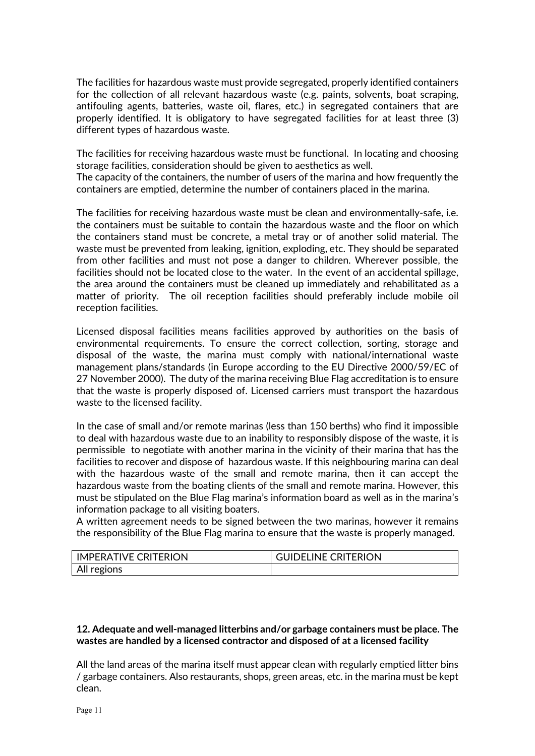The facilities for hazardous waste must provide segregated, properly identified containers for the collection of all relevant hazardous waste (e.g. paints, solvents, boat scraping, antifouling agents, batteries, waste oil, flares, etc.) in segregated containers that are properly identified. It is obligatory to have segregated facilities for at least three (3) different types of hazardous waste.

The facilities for receiving hazardous waste must be functional. In locating and choosing storage facilities, consideration should be given to aesthetics as well.

The capacity of the containers, the number of users of the marina and how frequently the containers are emptied, determine the number of containers placed in the marina.

The facilities for receiving hazardous waste must be clean and environmentally-safe, i.e. the containers must be suitable to contain the hazardous waste and the floor on which the containers stand must be concrete, a metal tray or of another solid material. The waste must be prevented from leaking, ignition, exploding, etc. They should be separated from other facilities and must not pose a danger to children. Wherever possible, the facilities should not be located close to the water. In the event of an accidental spillage, the area around the containers must be cleaned up immediately and rehabilitated as a matter of priority. The oil reception facilities should preferably include mobile oil reception facilities.

Licensed disposal facilities means facilities approved by authorities on the basis of environmental requirements. To ensure the correct collection, sorting, storage and disposal of the waste, the marina must comply with national/international waste management plans/standards (in Europe according to the EU Directive 2000/59/EC of 27 November 2000). The duty of the marina receiving Blue Flag accreditation is to ensure that the waste is properly disposed of. Licensed carriers must transport the hazardous waste to the licensed facility.

In the case of small and/or remote marinas (less than 150 berths) who find it impossible to deal with hazardous waste due to an inability to responsibly dispose of the waste, it is permissible to negotiate with another marina in the vicinity of their marina that has the facilities to recover and dispose of hazardous waste. If this neighbouring marina can deal with the hazardous waste of the small and remote marina, then it can accept the hazardous waste from the boating clients of the small and remote marina. However, this must be stipulated on the Blue Flag marina's information board as well as in the marina's information package to all visiting boaters.

A written agreement needs to be signed between the two marinas, however it remains the responsibility of the Blue Flag marina to ensure that the waste is properly managed.

| <b>IMPERATIVE CRITERION</b> | <b>GUIDELINE CRITERION</b> |
|-----------------------------|----------------------------|
| All regions                 |                            |

#### **12. Adequate and well-managed litterbins and/or garbage containers must be place. The wastes are handled by a licensed contractor and disposed of at a licensed facility**

All the land areas of the marina itself must appear clean with regularly emptied litter bins / garbage containers. Also restaurants, shops, green areas, etc. in the marina must be kept clean.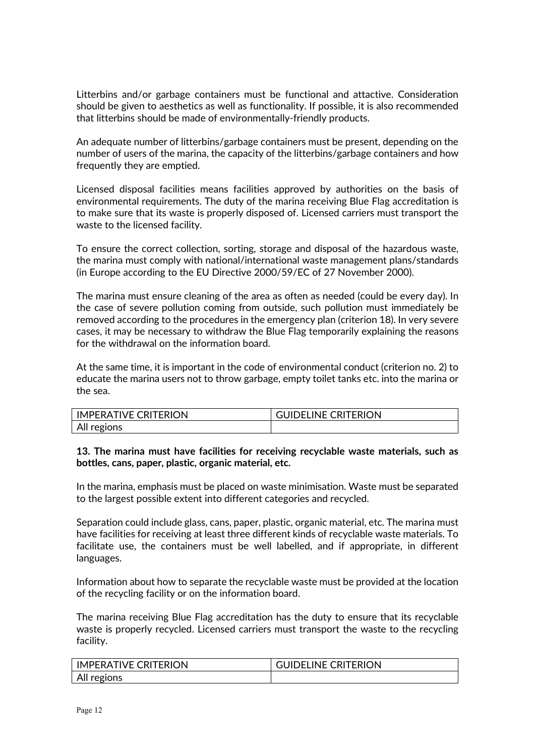Litterbins and/or garbage containers must be functional and attactive. Consideration should be given to aesthetics as well as functionality. If possible, it is also recommended that litterbins should be made of environmentally-friendly products.

An adequate number of litterbins/garbage containers must be present, depending on the number of users of the marina, the capacity of the litterbins/garbage containers and how frequently they are emptied.

Licensed disposal facilities means facilities approved by authorities on the basis of environmental requirements. The duty of the marina receiving Blue Flag accreditation is to make sure that its waste is properly disposed of. Licensed carriers must transport the waste to the licensed facility.

To ensure the correct collection, sorting, storage and disposal of the hazardous waste, the marina must comply with national/international waste management plans/standards (in Europe according to the EU Directive 2000/59/EC of 27 November 2000).

The marina must ensure cleaning of the area as often as needed (could be every day). In the case of severe pollution coming from outside, such pollution must immediately be removed according to the procedures in the emergency plan (criterion 18). In very severe cases, it may be necessary to withdraw the Blue Flag temporarily explaining the reasons for the withdrawal on the information board.

At the same time, it is important in the code of environmental conduct (criterion no. 2) to educate the marina users not to throw garbage, empty toilet tanks etc. into the marina or the sea.

| <b>IMPERATIVE CRITERION</b> | <b>GUIDELINE CRITERION</b> |
|-----------------------------|----------------------------|
| All regions                 |                            |

#### **13. The marina must have facilities for receiving recyclable waste materials, such as bottles, cans, paper, plastic, organic material, etc.**

In the marina, emphasis must be placed on waste minimisation. Waste must be separated to the largest possible extent into different categories and recycled.

Separation could include glass, cans, paper, plastic, organic material, etc. The marina must have facilities for receiving at least three different kinds of recyclable waste materials. To facilitate use, the containers must be well labelled, and if appropriate, in different languages.

Information about how to separate the recyclable waste must be provided at the location of the recycling facility or on the information board.

The marina receiving Blue Flag accreditation has the duty to ensure that its recyclable waste is properly recycled. Licensed carriers must transport the waste to the recycling facility.

| <b>IMPERATIVE CRITERION</b> | <b>GUIDELINE CRITERION</b> |
|-----------------------------|----------------------------|
| All regions                 |                            |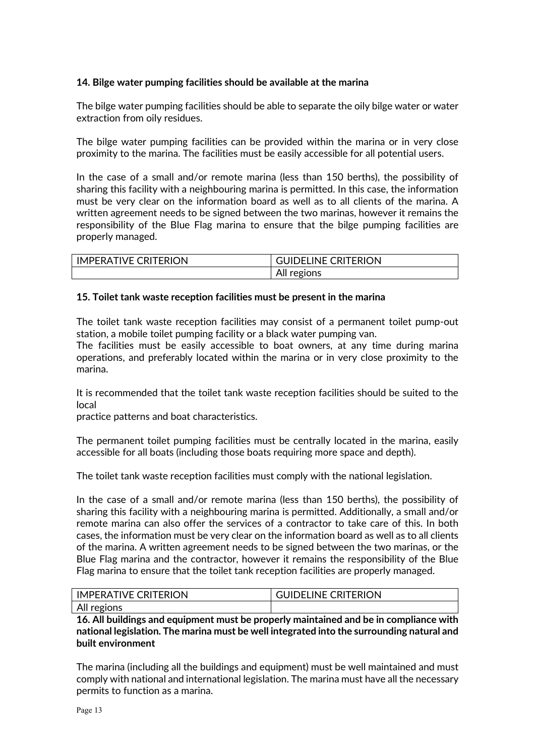## **14. Bilge water pumping facilities should be available at the marina**

The bilge water pumping facilities should be able to separate the oily bilge water or water extraction from oily residues.

The bilge water pumping facilities can be provided within the marina or in very close proximity to the marina. The facilities must be easily accessible for all potential users.

In the case of a small and/or remote marina (less than 150 berths), the possibility of sharing this facility with a neighbouring marina is permitted. In this case, the information must be very clear on the information board as well as to all clients of the marina. A written agreement needs to be signed between the two marinas, however it remains the responsibility of the Blue Flag marina to ensure that the bilge pumping facilities are properly managed.

| <b>IMPERATIVE CRITERION</b> | <b>GUIDELINE CRITERION</b> |
|-----------------------------|----------------------------|
|                             | All regions                |

#### **15. Toilet tank waste reception facilities must be present in the marina**

The toilet tank waste reception facilities may consist of a permanent toilet pump-out station, a mobile toilet pumping facility or a black water pumping van.

The facilities must be easily accessible to boat owners, at any time during marina operations, and preferably located within the marina or in very close proximity to the marina.

It is recommended that the toilet tank waste reception facilities should be suited to the local

practice patterns and boat characteristics.

The permanent toilet pumping facilities must be centrally located in the marina, easily accessible for all boats (including those boats requiring more space and depth).

The toilet tank waste reception facilities must comply with the national legislation.

In the case of a small and/or remote marina (less than 150 berths), the possibility of sharing this facility with a neighbouring marina is permitted. Additionally, a small and/or remote marina can also offer the services of a contractor to take care of this. In both cases, the information must be very clear on the information board as well as to all clients of the marina. A written agreement needs to be signed between the two marinas, or the Blue Flag marina and the contractor, however it remains the responsibility of the Blue Flag marina to ensure that the toilet tank reception facilities are properly managed.

| <b>IMPERATIVE CRITERION</b> | <b>GUIDELINE CRITERION</b> |
|-----------------------------|----------------------------|
| All regions                 |                            |

**16. All buildings and equipment must be properly maintained and be in compliance with national legislation. The marina must be well integrated into the surrounding natural and built environment** 

The marina (including all the buildings and equipment) must be well maintained and must comply with national and international legislation. The marina must have all the necessary permits to function as a marina.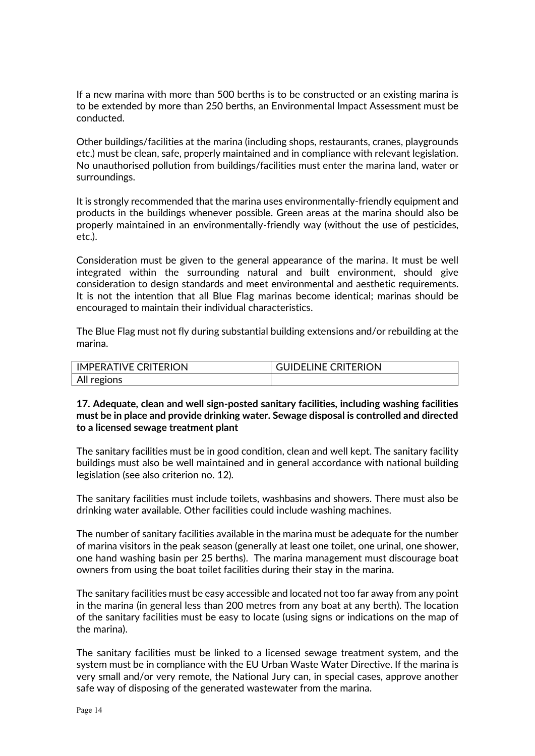If a new marina with more than 500 berths is to be constructed or an existing marina is to be extended by more than 250 berths, an Environmental Impact Assessment must be conducted.

Other buildings/facilities at the marina (including shops, restaurants, cranes, playgrounds etc.) must be clean, safe, properly maintained and in compliance with relevant legislation. No unauthorised pollution from buildings/facilities must enter the marina land, water or surroundings.

It is strongly recommended that the marina uses environmentally-friendly equipment and products in the buildings whenever possible. Green areas at the marina should also be properly maintained in an environmentally-friendly way (without the use of pesticides, etc.).

Consideration must be given to the general appearance of the marina. It must be well integrated within the surrounding natural and built environment, should give consideration to design standards and meet environmental and aesthetic requirements. It is not the intention that all Blue Flag marinas become identical; marinas should be encouraged to maintain their individual characteristics.

The Blue Flag must not fly during substantial building extensions and/or rebuilding at the marina.

| <b>IMPERATIVE CRITERION</b> | <b>GUIDELINE CRITERION</b> |
|-----------------------------|----------------------------|
| All regions                 |                            |

### **17. Adequate, clean and well sign-posted sanitary facilities, including washing facilities must be in place and provide drinking water. Sewage disposal is controlled and directed to a licensed sewage treatment plant**

The sanitary facilities must be in good condition, clean and well kept. The sanitary facility buildings must also be well maintained and in general accordance with national building legislation (see also criterion no. 12).

The sanitary facilities must include toilets, washbasins and showers. There must also be drinking water available. Other facilities could include washing machines.

The number of sanitary facilities available in the marina must be adequate for the number of marina visitors in the peak season (generally at least one toilet, one urinal, one shower, one hand washing basin per 25 berths). The marina management must discourage boat owners from using the boat toilet facilities during their stay in the marina.

The sanitary facilities must be easy accessible and located not too far away from any point in the marina (in general less than 200 metres from any boat at any berth). The location of the sanitary facilities must be easy to locate (using signs or indications on the map of the marina).

The sanitary facilities must be linked to a licensed sewage treatment system, and the system must be in compliance with the EU Urban Waste Water Directive. If the marina is very small and/or very remote, the National Jury can, in special cases, approve another safe way of disposing of the generated wastewater from the marina.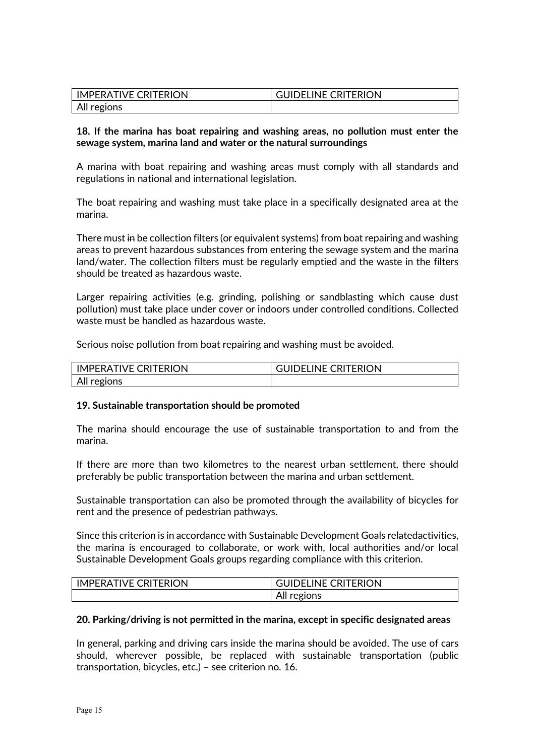| IMPERATIVE CRITERION | <b>GUIDELINE CRITERION</b> |
|----------------------|----------------------------|
| All regions          |                            |

#### **18. If the marina has boat repairing and washing areas, no pollution must enter the sewage system, marina land and water or the natural surroundings**

A marina with boat repairing and washing areas must comply with all standards and regulations in national and international legislation.

The boat repairing and washing must take place in a specifically designated area at the marina.

There must in be collection filters (or equivalent systems) from boat repairing and washing areas to prevent hazardous substances from entering the sewage system and the marina land/water. The collection filters must be regularly emptied and the waste in the filters should be treated as hazardous waste.

Larger repairing activities (e.g. grinding, polishing or sandblasting which cause dust pollution) must take place under cover or indoors under controlled conditions. Collected waste must be handled as hazardous waste.

Serious noise pollution from boat repairing and washing must be avoided.

| <b>IMPERATIVE CRITERION</b> | <b>GUIDELINE CRITERION</b> |
|-----------------------------|----------------------------|
| All regions                 |                            |

#### **19. Sustainable transportation should be promoted**

The marina should encourage the use of sustainable transportation to and from the marina.

If there are more than two kilometres to the nearest urban settlement, there should preferably be public transportation between the marina and urban settlement.

Sustainable transportation can also be promoted through the availability of bicycles for rent and the presence of pedestrian pathways.

Since this criterion is in accordance with Sustainable Development Goals relatedactivities, the marina is encouraged to collaborate, or work with, local authorities and/or local Sustainable Development Goals groups regarding compliance with this criterion.

| LIMPERATIVE CRITERION | <b>GUIDELINE CRITERION</b> |
|-----------------------|----------------------------|
|                       | All regions                |

#### **20. Parking/driving is not permitted in the marina, except in specific designated areas**

In general, parking and driving cars inside the marina should be avoided. The use of cars should, wherever possible, be replaced with sustainable transportation (public transportation, bicycles, etc.) – see criterion no. 16.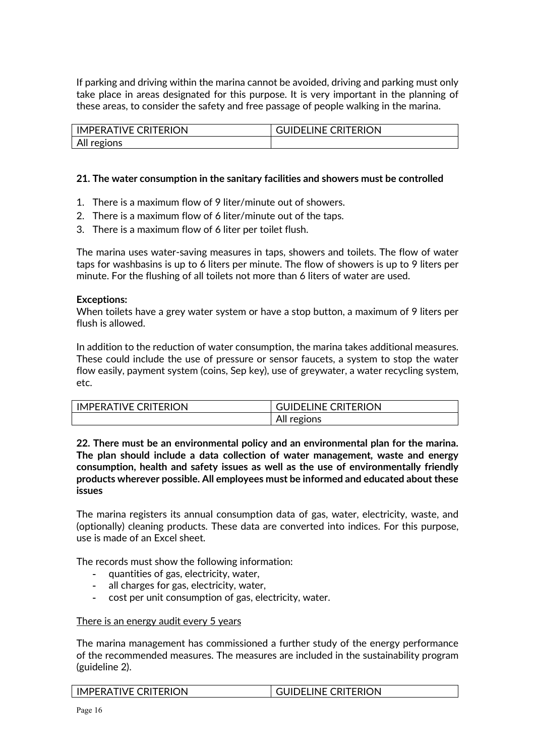If parking and driving within the marina cannot be avoided, driving and parking must only take place in areas designated for this purpose. It is very important in the planning of these areas, to consider the safety and free passage of people walking in the marina.

| <b>IMPERATIVE CRITERION</b> | <b>GUIDELINE CRITERION</b> |
|-----------------------------|----------------------------|
| All regions                 |                            |

#### **21. The water consumption in the sanitary facilities and showers must be controlled**

- 1. There is a maximum flow of 9 liter/minute out of showers.
- 2. There is a maximum flow of 6 liter/minute out of the taps.
- 3. There is a maximum flow of 6 liter per toilet flush.

The marina uses water-saving measures in taps, showers and toilets. The flow of water taps for washbasins is up to 6 liters per minute. The flow of showers is up to 9 liters per minute. For the flushing of all toilets not more than 6 liters of water are used.

#### **Exceptions:**

When toilets have a grey water system or have a stop button, a maximum of 9 liters per flush is allowed.

In addition to the reduction of water consumption, the marina takes additional measures. These could include the use of pressure or sensor faucets, a system to stop the water flow easily, payment system (coins, Sep key), use of greywater, a water recycling system, etc.

| <b>IMPERATIVE CRITERION</b> | <b>GUIDELINE CRITERION</b> |
|-----------------------------|----------------------------|
|                             | All regions                |

**22. There must be an environmental policy and an environmental plan for the marina. The plan should include a data collection of water management, waste and energy consumption, health and safety issues as well as the use of environmentally friendly products wherever possible. All employees must be informed and educated about these issues**

The marina registers its annual consumption data of gas, water, electricity, waste, and (optionally) cleaning products. These data are converted into indices. For this purpose, use is made of an Excel sheet.

The records must show the following information:

- quantities of gas, electricity, water,
- all charges for gas, electricity, water,
- cost per unit consumption of gas, electricity, water.

#### There is an energy audit every 5 years

The marina management has commissioned a further study of the energy performance of the recommended measures. The measures are included in the sustainability program (guideline 2).

| <b>I IMPERATIVE CRITERION</b> | <b>GUIDELINE CRITERION</b> |
|-------------------------------|----------------------------|
|-------------------------------|----------------------------|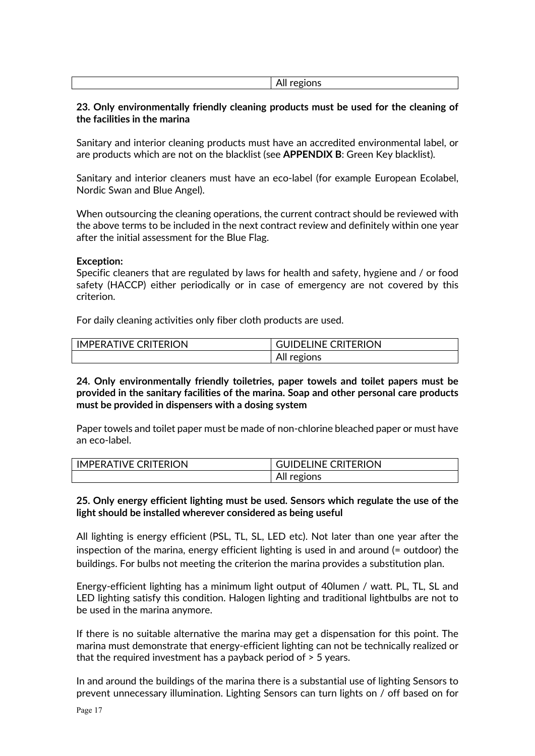#### **23. Only environmentally friendly cleaning products must be used for the cleaning of the facilities in the marina**

Sanitary and interior cleaning products must have an accredited environmental label, or are products which are not on the blacklist (see **APPENDIX B**: Green Key blacklist).

Sanitary and interior cleaners must have an eco-label (for example European Ecolabel, Nordic Swan and Blue Angel).

When outsourcing the cleaning operations, the current contract should be reviewed with the above terms to be included in the next contract review and definitely within one year after the initial assessment for the Blue Flag.

#### **Exception:**

Specific cleaners that are regulated by laws for health and safety, hygiene and / or food safety (HACCP) either periodically or in case of emergency are not covered by this criterion.

For daily cleaning activities only fiber cloth products are used.

| <b>IMPERATIVE CRITERION</b> | <b>GUIDELINE CRITERION</b> |
|-----------------------------|----------------------------|
|                             | All regions                |

**24. Only environmentally friendly toiletries, paper towels and toilet papers must be provided in the sanitary facilities of the marina. Soap and other personal care products must be provided in dispensers with a dosing system**

Paper towels and toilet paper must be made of non-chlorine bleached paper or must have an eco-label.

| <b>IMPERATIVE CRITERION</b> | GUIDELINE CRITERION |
|-----------------------------|---------------------|
|                             | All regions         |

#### **25. Only energy efficient lighting must be used. Sensors which regulate the use of the light should be installed wherever considered as being useful**

All lighting is energy efficient (PSL, TL, SL, LED etc). Not later than one year after the inspection of the marina, energy efficient lighting is used in and around (= outdoor) the buildings. For bulbs not meeting the criterion the marina provides a substitution plan.

Energy-efficient lighting has a minimum light output of 40lumen / watt. PL, TL, SL and LED lighting satisfy this condition. Halogen lighting and traditional lightbulbs are not to be used in the marina anymore.

If there is no suitable alternative the marina may get a dispensation for this point. The marina must demonstrate that energy-efficient lighting can not be technically realized or that the required investment has a payback period of > 5 years.

In and around the buildings of the marina there is a substantial use of lighting Sensors to prevent unnecessary illumination. Lighting Sensors can turn lights on / off based on for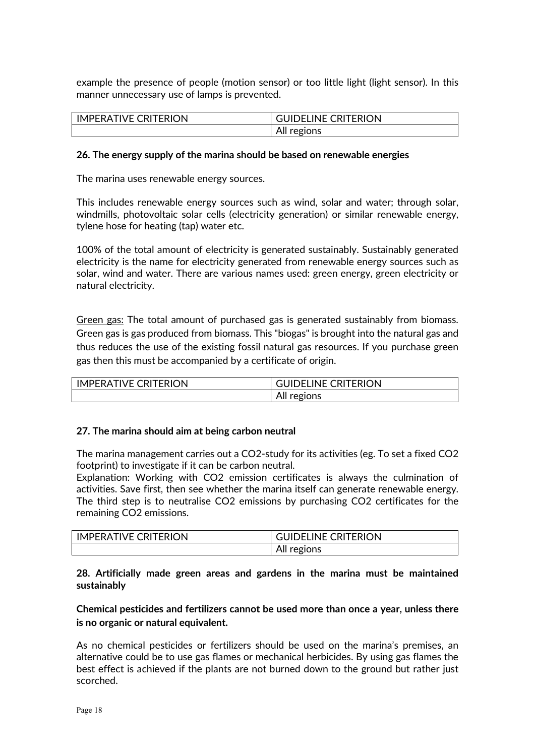example the presence of people (motion sensor) or too little light (light sensor). In this manner unnecessary use of lamps is prevented.

| <b>IMPERATIVE CRITERION</b> | <b>GUIDELINE CRITERION</b> |
|-----------------------------|----------------------------|
|                             | All regions                |

#### **26. The energy supply of the marina should be based on renewable energies**

The marina uses renewable energy sources.

This includes renewable energy sources such as wind, solar and water; through solar, windmills, photovoltaic solar cells (electricity generation) or similar renewable energy, tylene hose for heating (tap) water etc.

100% of the total amount of electricity is generated sustainably. Sustainably generated electricity is the name for electricity generated from renewable energy sources such as solar, wind and water. There are various names used: green energy, green electricity or natural electricity.

Green gas: The total amount of purchased gas is generated sustainably from biomass. Green gas is gas produced from biomass. This "biogas" is brought into the natural gas and thus reduces the use of the existing fossil natural gas resources. If you purchase green gas then this must be accompanied by a certificate of origin.

| I IMPFRATIVF CRITFRION | <b>GUIDELINE CRITERION</b> |
|------------------------|----------------------------|
|                        | AIL<br>regions             |

#### **27. The marina should aim at being carbon neutral**

The marina management carries out a CO2-study for its activities (eg. To set a fixed CO2 footprint) to investigate if it can be carbon neutral.

Explanation: Working with CO2 emission certificates is always the culmination of activities. Save first, then see whether the marina itself can generate renewable energy. The third step is to neutralise CO2 emissions by purchasing CO2 certificates for the remaining CO2 emissions.

| <b>IMPERATIVE CRITERION</b> | <b>GUIDELINE CRITERION</b> |
|-----------------------------|----------------------------|
|                             | All regions                |

#### **28. Artificially made green areas and gardens in the marina must be maintained sustainably**

## **Chemical pesticides and fertilizers cannot be used more than once a year, unless there is no organic or natural equivalent.**

As no chemical pesticides or fertilizers should be used on the marina's premises, an alternative could be to use gas flames or mechanical herbicides. By using gas flames the best effect is achieved if the plants are not burned down to the ground but rather just scorched.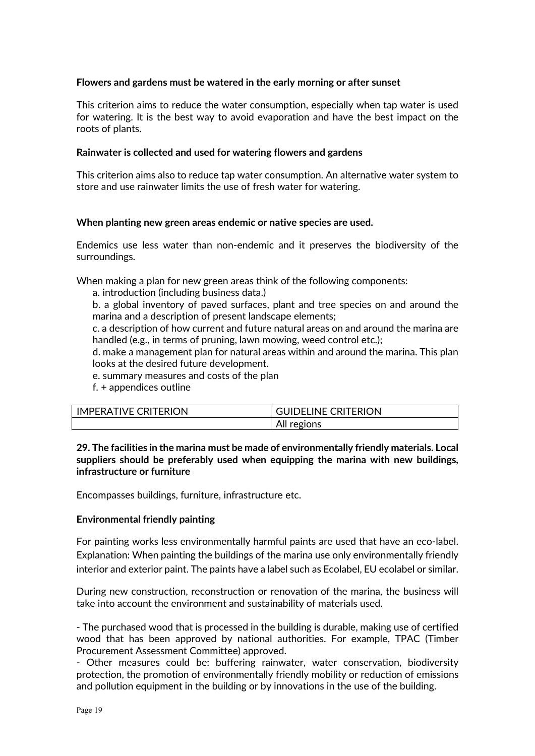#### **Flowers and gardens must be watered in the early morning or after sunset**

This criterion aims to reduce the water consumption, especially when tap water is used for watering. It is the best way to avoid evaporation and have the best impact on the roots of plants.

#### **Rainwater is collected and used for watering flowers and gardens**

This criterion aims also to reduce tap water consumption. An alternative water system to store and use rainwater limits the use of fresh water for watering.

#### **When planting new green areas endemic or native species are used.**

Endemics use less water than non-endemic and it preserves the biodiversity of the surroundings.

When making a plan for new green areas think of the following components:

a. introduction (including business data.)

b. a global inventory of paved surfaces, plant and tree species on and around the marina and a description of present landscape elements;

c. a description of how current and future natural areas on and around the marina are handled (e.g., in terms of pruning, lawn mowing, weed control etc.);

d. make a management plan for natural areas within and around the marina. This plan looks at the desired future development.

e. summary measures and costs of the plan

f. + appendices outline

| I IMPFRATIVF CRITFRION | <b>GUIDELINE CRITERION</b> |
|------------------------|----------------------------|
|                        | All<br>regions             |

**29. The facilities in the marina must be made of environmentally friendly materials. Local suppliers should be preferably used when equipping the marina with new buildings, infrastructure or furniture**

Encompasses buildings, furniture, infrastructure etc.

#### **Environmental friendly painting**

For painting works less environmentally harmful paints are used that have an eco-label. Explanation: When painting the buildings of the marina use only environmentally friendly interior and exterior paint. The paints have a label such as Ecolabel, EU ecolabel or similar.

During new construction, reconstruction or renovation of the marina, the business will take into account the environment and sustainability of materials used.

- The purchased wood that is processed in the building is durable, making use of certified wood that has been approved by national authorities. For example, TPAC (Timber Procurement Assessment Committee) approved.

- Other measures could be: buffering rainwater, water conservation, biodiversity protection, the promotion of environmentally friendly mobility or reduction of emissions and pollution equipment in the building or by innovations in the use of the building.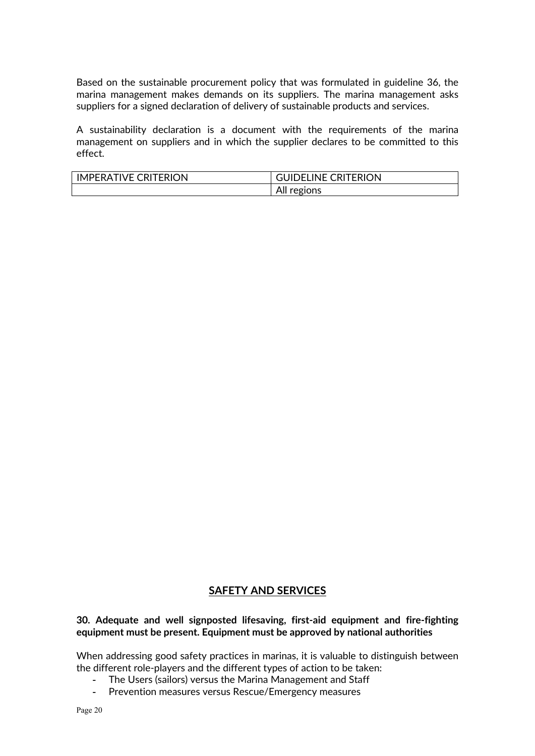Based on the sustainable procurement policy that was formulated in guideline 36, the marina management makes demands on its suppliers. The marina management asks suppliers for a signed declaration of delivery of sustainable products and services.

A sustainability declaration is a document with the requirements of the marina management on suppliers and in which the supplier declares to be committed to this effect.

| <b>IMPERATIVE CRITERION</b> | <b>GUIDELINE CRITERION</b> |
|-----------------------------|----------------------------|
|                             | All regions                |

## **SAFETY AND SERVICES**

#### **30. Adequate and well signposted lifesaving, first-aid equipment and fire-fighting equipment must be present. Equipment must be approved by national authorities**

When addressing good safety practices in marinas, it is valuable to distinguish between the different role-players and the different types of action to be taken:

- The Users (sailors) versus the Marina Management and Staff<br>- Prevention measures versus Rescue/Emergency measures
- Prevention measures versus Rescue/Emergency measures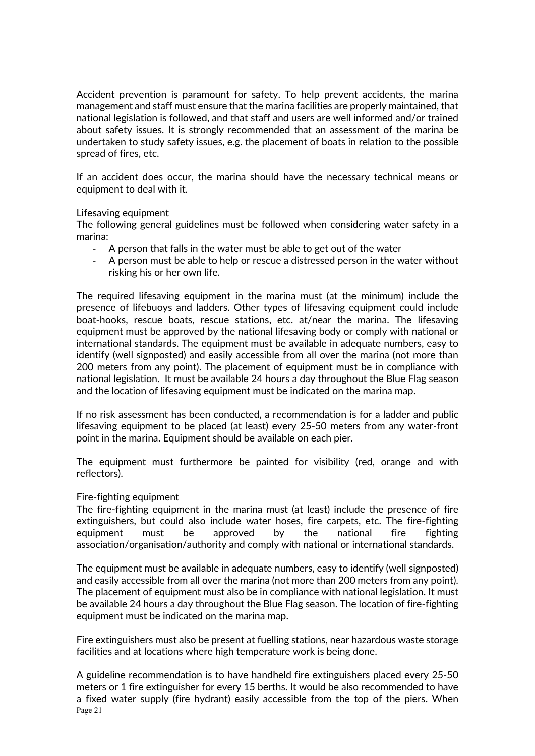Accident prevention is paramount for safety. To help prevent accidents, the marina management and staff must ensure that the marina facilities are properly maintained, that national legislation is followed, and that staff and users are well informed and/or trained about safety issues. It is strongly recommended that an assessment of the marina be undertaken to study safety issues, e.g. the placement of boats in relation to the possible spread of fires, etc.

If an accident does occur, the marina should have the necessary technical means or equipment to deal with it.

#### Lifesaving equipment

The following general guidelines must be followed when considering water safety in a marina:

- A person that falls in the water must be able to get out of the water
- A person must be able to help or rescue a distressed person in the water without risking his or her own life.

The required lifesaving equipment in the marina must (at the minimum) include the presence of lifebuoys and ladders. Other types of lifesaving equipment could include boat-hooks, rescue boats, rescue stations, etc. at/near the marina. The lifesaving equipment must be approved by the national lifesaving body or comply with national or international standards. The equipment must be available in adequate numbers, easy to identify (well signposted) and easily accessible from all over the marina (not more than 200 meters from any point). The placement of equipment must be in compliance with national legislation. It must be available 24 hours a day throughout the Blue Flag season and the location of lifesaving equipment must be indicated on the marina map.

If no risk assessment has been conducted, a recommendation is for a ladder and public lifesaving equipment to be placed (at least) every 25-50 meters from any water-front point in the marina. Equipment should be available on each pier.

The equipment must furthermore be painted for visibility (red, orange and with reflectors).

#### Fire-fighting equipment

The fire-fighting equipment in the marina must (at least) include the presence of fire extinguishers, but could also include water hoses, fire carpets, etc. The fire-fighting equipment must be approved by the national fire fighting association/organisation/authority and comply with national or international standards.

The equipment must be available in adequate numbers, easy to identify (well signposted) and easily accessible from all over the marina (not more than 200 meters from any point). The placement of equipment must also be in compliance with national legislation. It must be available 24 hours a day throughout the Blue Flag season. The location of fire-fighting equipment must be indicated on the marina map.

Fire extinguishers must also be present at fuelling stations, near hazardous waste storage facilities and at locations where high temperature work is being done.

Page 21 A guideline recommendation is to have handheld fire extinguishers placed every 25-50 meters or 1 fire extinguisher for every 15 berths. It would be also recommended to have a fixed water supply (fire hydrant) easily accessible from the top of the piers. When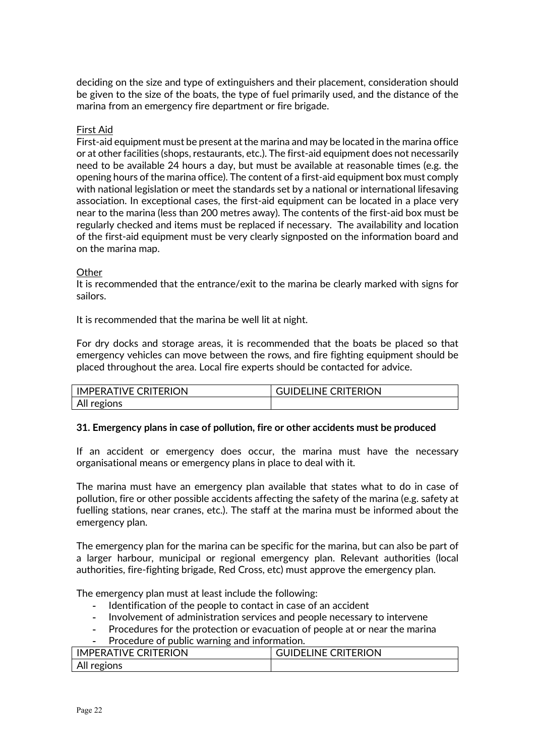deciding on the size and type of extinguishers and their placement, consideration should be given to the size of the boats, the type of fuel primarily used, and the distance of the marina from an emergency fire department or fire brigade.

#### First Aid

First-aid equipment must be present at the marina and may be located in the marina office or at other facilities (shops, restaurants, etc.). The first-aid equipment does not necessarily need to be available 24 hours a day, but must be available at reasonable times (e.g. the opening hours of the marina office). The content of a first-aid equipment box must comply with national legislation or meet the standards set by a national or international lifesaving association. In exceptional cases, the first-aid equipment can be located in a place very near to the marina (less than 200 metres away). The contents of the first-aid box must be regularly checked and items must be replaced if necessary. The availability and location of the first-aid equipment must be very clearly signposted on the information board and on the marina map.

#### **Other**

It is recommended that the entrance/exit to the marina be clearly marked with signs for sailors.

It is recommended that the marina be well lit at night.

For dry docks and storage areas, it is recommended that the boats be placed so that emergency vehicles can move between the rows, and fire fighting equipment should be placed throughout the area. Local fire experts should be contacted for advice.

| <b>IMPERATIVE CRITERION</b> | <b>GUIDELINE CRITERION</b> |
|-----------------------------|----------------------------|
| All regions                 |                            |

#### **31. Emergency plans in case of pollution, fire or other accidents must be produced**

If an accident or emergency does occur, the marina must have the necessary organisational means or emergency plans in place to deal with it.

The marina must have an emergency plan available that states what to do in case of pollution, fire or other possible accidents affecting the safety of the marina (e.g. safety at fuelling stations, near cranes, etc.). The staff at the marina must be informed about the emergency plan.

The emergency plan for the marina can be specific for the marina, but can also be part of a larger harbour, municipal or regional emergency plan. Relevant authorities (local authorities, fire-fighting brigade, Red Cross, etc) must approve the emergency plan.

The emergency plan must at least include the following:

- Identification of the people to contact in case of an accident
- Involvement of administration services and people necessary to intervene
- Procedures for the protection or evacuation of people at or near the marina
- Procedure of public warning and information.

| <b>IMPERATIVE CRITERION</b> | <b>GUIDELINE CRITERION</b> |
|-----------------------------|----------------------------|
| All regions                 |                            |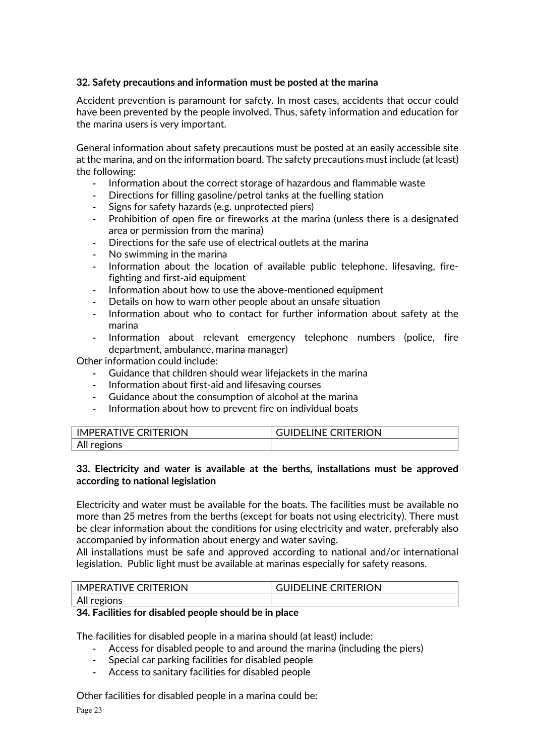## **32. Safety precautions and information must be posted at the marina**

Accident prevention is paramount for safety. In most cases, accidents that occur could have been prevented by the people involved. Thus, safety information and education for the marina users is very important.

General information about safety precautions must be posted at an easily accessible site at the marina, and on the information board. The safety precautions must include (at least) the following:

- Information about the correct storage of hazardous and flammable waste
- Directions for filling gasoline/petrol tanks at the fuelling station
- Signs for safety hazards (e.g. unprotected piers)
- Prohibition of open fire or fireworks at the marina (unless there is a designated area or permission from the marina)
- Directions for the safe use of electrical outlets at the marina
- No swimming in the marina
- Information about the location of available public telephone, lifesaving, firefighting and first-aid equipment
- Information about how to use the above-mentioned equipment
- Details on how to warn other people about an unsafe situation
- Information about who to contact for further information about safety at the marina
- Information about relevant emergency telephone numbers (police, fire department, ambulance, marina manager)

Other information could include:

- Guidance that children should wear lifejackets in the marina
- Information about first-aid and lifesaving courses
- Guidance about the consumption of alcohol at the marina
- Information about how to prevent fire on individual boats

| <b>IMPERATIVE CRITERION</b> | <b>GUIDELINE CRITERION</b> |
|-----------------------------|----------------------------|
| All regions                 |                            |

## **33. Electricity and water is available at the berths, installations must be approved according to national legislation**

Electricity and water must be available for the boats. The facilities must be available no more than 25 metres from the berths (except for boats not using electricity). There must be clear information about the conditions for using electricity and water, preferably also accompanied by information about energy and water saving.

All installations must be safe and approved according to national and/or international legislation. Public light must be available at marinas especially for safety reasons.

| <b>IMPERATIVE CRITERION</b> | <b>GUIDELINE CRITERION</b> |
|-----------------------------|----------------------------|
| All regions                 |                            |

## **34. Facilities for disabled people should be in place**

The facilities for disabled people in a marina should (at least) include:

- Access for disabled people to and around the marina (including the piers)
- Special car parking facilities for disabled people
- Access to sanitary facilities for disabled people

Other facilities for disabled people in a marina could be: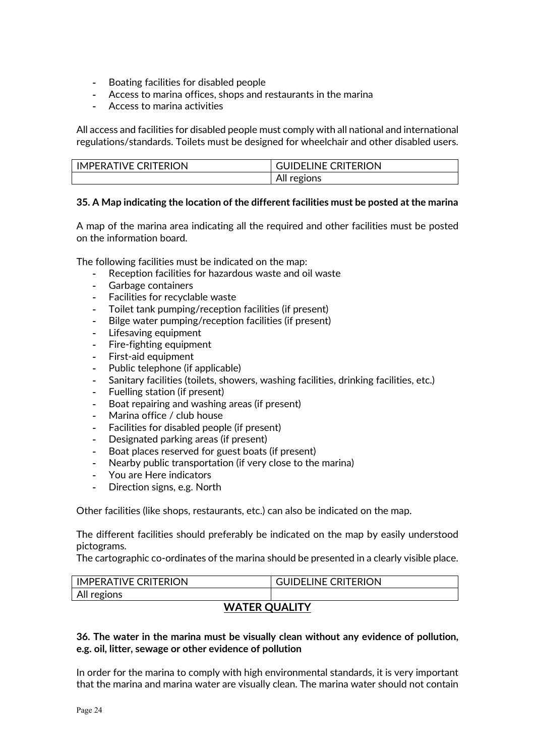- Boating facilities for disabled people
- Access to marina offices, shops and restaurants in the marina
- Access to marina activities

All access and facilities for disabled people must comply with all national and international regulations/standards. Toilets must be designed for wheelchair and other disabled users.

| <b>IMPERATIVE CRITERION</b> | <b>GUIDELINE CRITERION</b> |
|-----------------------------|----------------------------|
|                             | All regions                |

## **35. A Map indicating the location of the different facilities must be posted at the marina**

A map of the marina area indicating all the required and other facilities must be posted on the information board.

The following facilities must be indicated on the map:

- Reception facilities for hazardous waste and oil waste
- Garbage containers
- Facilities for recyclable waste
- Toilet tank pumping/reception facilities (if present)
- Bilge water pumping/reception facilities (if present)
- Lifesaving equipment
- Fire-fighting equipment
- First-aid equipment
- Public telephone (if applicable)
- Sanitary facilities (toilets, showers, washing facilities, drinking facilities, etc.)
- Fuelling station (if present)
- Boat repairing and washing areas (if present)
- Marina office / club house
- Facilities for disabled people (if present)
- Designated parking areas (if present)
- Boat places reserved for guest boats (if present)
- Nearby public transportation (if very close to the marina)
- You are Here indicators
- Direction signs, e.g. North

Other facilities (like shops, restaurants, etc.) can also be indicated on the map.

The different facilities should preferably be indicated on the map by easily understood pictograms.

The cartographic co-ordinates of the marina should be presented in a clearly visible place.

| IMPERATIVE CRITERION | <b>GUIDELINE CRITERION</b> |
|----------------------|----------------------------|
| All regions          |                            |

## **WATER QUALITY**

## **36. The water in the marina must be visually clean without any evidence of pollution, e.g. oil, litter, sewage or other evidence of pollution**

In order for the marina to comply with high environmental standards, it is very important that the marina and marina water are visually clean. The marina water should not contain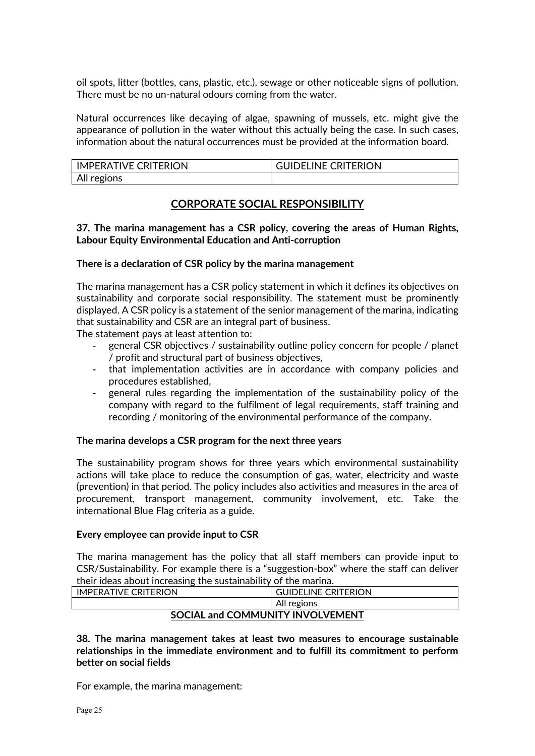oil spots, litter (bottles, cans, plastic, etc.), sewage or other noticeable signs of pollution. There must be no un-natural odours coming from the water.

Natural occurrences like decaying of algae, spawning of mussels, etc. might give the appearance of pollution in the water without this actually being the case. In such cases, information about the natural occurrences must be provided at the information board.

| <b>IMPERATIVE CRITERION</b> | <b>GUIDELINE CRITERION</b> |
|-----------------------------|----------------------------|
| All regions                 |                            |

## **CORPORATE SOCIAL RESPONSIBILITY**

### **37. The marina management has a CSR policy, covering the areas of Human Rights, Labour Equity Environmental Education and Anti-corruption**

#### **There is a declaration of CSR policy by the marina management**

The marina management has a CSR policy statement in which it defines its objectives on sustainability and corporate social responsibility. The statement must be prominently displayed. A CSR policy is a statement of the senior management of the marina, indicating that sustainability and CSR are an integral part of business.

The statement pays at least attention to:

- general CSR objectives / sustainability outline policy concern for people / planet / profit and structural part of business objectives,
- that implementation activities are in accordance with company policies and procedures established,
- general rules regarding the implementation of the sustainability policy of the company with regard to the fulfilment of legal requirements, staff training and recording / monitoring of the environmental performance of the company.

#### **The marina develops a CSR program for the next three years**

The sustainability program shows for three years which environmental sustainability actions will take place to reduce the consumption of gas, water, electricity and waste (prevention) in that period. The policy includes also activities and measures in the area of procurement, transport management, community involvement, etc. Take the international Blue Flag criteria as a guide.

#### **Every employee can provide input to CSR**

The marina management has the policy that all staff members can provide input to CSR/Sustainability. For example there is a "suggestion-box" where the staff can deliver their ideas about increasing the sustainability of the marina.

| <b>IMPERATIVE CRITERION</b>      | <b>GUIDELINE CRITERION</b> |  |
|----------------------------------|----------------------------|--|
|                                  | All regions                |  |
| SOCIAL and COMMUNITY INVOLVEMENT |                            |  |

**38. The marina management takes at least two measures to encourage sustainable relationships in the immediate environment and to fulfill its commitment to perform better on social fields**

For example, the marina management: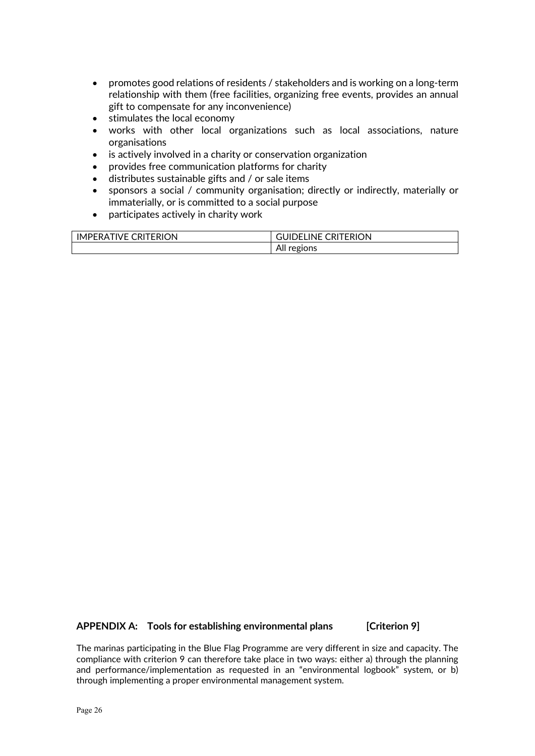- promotes good relations of residents / stakeholders and is working on a long-term relationship with them (free facilities, organizing free events, provides an annual gift to compensate for any inconvenience)
- stimulates the local economy
- works with other local organizations such as local associations, nature organisations
- is actively involved in a charity or conservation organization
- provides free communication platforms for charity
- distributes sustainable gifts and / or sale items
- sponsors a social / community organisation; directly or indirectly, materially or immaterially, or is committed to a social purpose
- participates actively in charity work

| TERION     | <b>CRITERION</b>   |  |
|------------|--------------------|--|
| <b>IVF</b> | INF (              |  |
| IΜ         | ) H I              |  |
| 'R∐        | ы                  |  |
| IPFRA.     | . .                |  |
|            | All re,<br>egions, |  |

#### **APPENDIX A: Tools for establishing environmental plans [Criterion 9]**

The marinas participating in the Blue Flag Programme are very different in size and capacity. The compliance with criterion 9 can therefore take place in two ways: either a) through the planning and performance/implementation as requested in an "environmental logbook" system, or b) through implementing a proper environmental management system.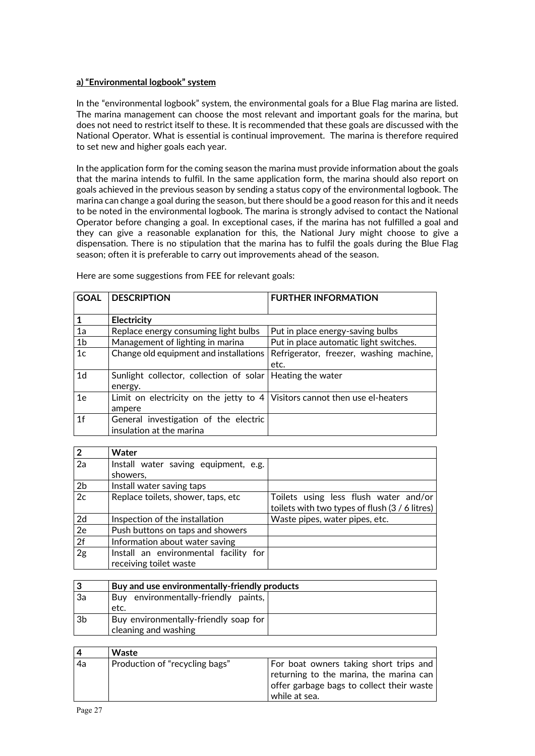#### **a) "Environmental logbook" system**

In the "environmental logbook" system, the environmental goals for a Blue Flag marina are listed. The marina management can choose the most relevant and important goals for the marina, but does not need to restrict itself to these. It is recommended that these goals are discussed with the National Operator. What is essential is continual improvement. The marina is therefore required to set new and higher goals each year.

In the application form for the coming season the marina must provide information about the goals that the marina intends to fulfil. In the same application form, the marina should also report on goals achieved in the previous season by sending a status copy of the environmental logbook. The marina can change a goal during the season, but there should be a good reason for this and it needs to be noted in the environmental logbook. The marina is strongly advised to contact the National Operator before changing a goal. In exceptional cases, if the marina has not fulfilled a goal and they can give a reasonable explanation for this, the National Jury might choose to give a dispensation. There is no stipulation that the marina has to fulfil the goals during the Blue Flag season; often it is preferable to carry out improvements ahead of the season.

| <b>GOAL</b>    | <b>DESCRIPTION</b>                                                           | <b>FURTHER INFORMATION</b>              |
|----------------|------------------------------------------------------------------------------|-----------------------------------------|
|                |                                                                              |                                         |
| $\mathbf{1}$   | Electricity                                                                  |                                         |
| 1a             | Replace energy consuming light bulbs                                         | Put in place energy-saving bulbs        |
| 1 <sub>b</sub> | Put in place automatic light switches.<br>Management of lighting in marina   |                                         |
| 1 <sub>c</sub> | Change old equipment and installations                                       | Refrigerator, freezer, washing machine, |
|                |                                                                              | etc.                                    |
| 1 <sub>d</sub> | Sunlight collector, collection of solar   Heating the water                  |                                         |
|                | energy.                                                                      |                                         |
| 1 <sub>e</sub> | Limit on electricity on the jetty to $4$ Visitors cannot then use el-heaters |                                         |
|                | ampere                                                                       |                                         |
| 1 <sub>f</sub> | General investigation of the electric                                        |                                         |
|                | insulation at the marina                                                     |                                         |

Here are some suggestions from FEE for relevant goals:

| $\overline{2}$ | Water                                 |                                                |
|----------------|---------------------------------------|------------------------------------------------|
| 2a             | Install water saving equipment, e.g.  |                                                |
|                | showers,                              |                                                |
| 2 <sub>b</sub> | Install water saving taps             |                                                |
| 2c             | Replace toilets, shower, taps, etc    | Toilets using less flush water and/or          |
|                |                                       | toilets with two types of flush (3 / 6 litres) |
| 2d             | Inspection of the installation        | Waste pipes, water pipes, etc.                 |
| 2e             | Push buttons on taps and showers      |                                                |
| 2f             | Information about water saving        |                                                |
| 2g             | Install an environmental facility for |                                                |
|                | receiving toilet waste                |                                                |

| Ι3             | Buy and use environmentally-friendly products |  |
|----------------|-----------------------------------------------|--|
| 3a             | Buy environmentally-friendly paints,          |  |
|                | etc.                                          |  |
| 3 <sub>b</sub> | Buy environmentally-friendly soap for         |  |
|                | cleaning and washing                          |  |

| <b>4</b> | Waste                          |                                                                                                                                                 |
|----------|--------------------------------|-------------------------------------------------------------------------------------------------------------------------------------------------|
| 4a       | Production of "recycling bags" | For boat owners taking short trips and<br>returning to the marina, the marina can<br>offer garbage bags to collect their waste<br>while at sea. |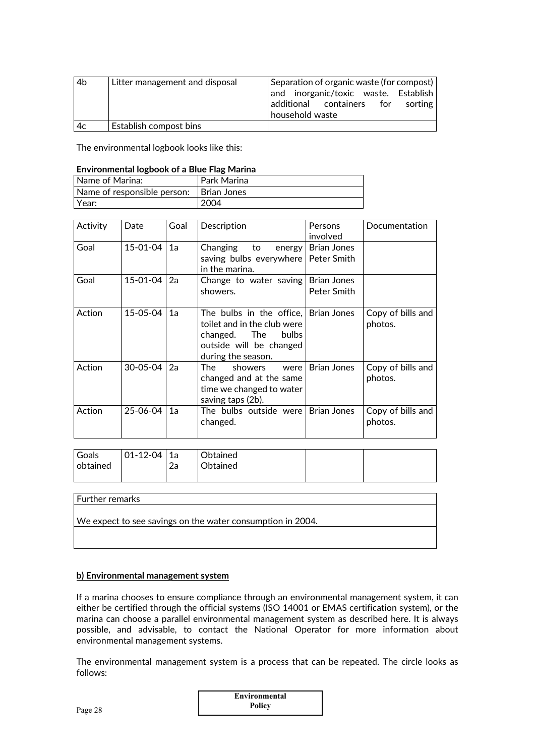| 4 <sub>b</sub> | Litter management and disposal | Separation of organic waste (for compost) |  |  |  |
|----------------|--------------------------------|-------------------------------------------|--|--|--|
|                |                                | and inorganic/toxic waste. Establish      |  |  |  |
|                |                                | additional containers for sorting         |  |  |  |
|                |                                | household waste                           |  |  |  |
| 4c             | Establish compost bins         |                                           |  |  |  |

The environmental logbook looks like this:

#### **Environmental logbook of a Blue Flag Marina**

| l Name of Marina:               | Park Marina   |
|---------------------------------|---------------|
| l Name of responsible person: I | I Brian Jones |
| Year:                           | 2004          |

| Activity | Date           | Goal | Description                                                                                                                                          | Persons<br>involved | Documentation                |
|----------|----------------|------|------------------------------------------------------------------------------------------------------------------------------------------------------|---------------------|------------------------------|
| Goal     | $15 - 01 - 04$ | 1a   | Changing to energy Brian Jones<br>saving bulbs everywhere   Peter Smith<br>in the marina.                                                            |                     |                              |
| Goal     | $15 - 01 - 04$ | 2a   | Change to water saving   Brian Jones<br>showers.                                                                                                     | Peter Smith         |                              |
| Action   | 15-05-04       | 1a   | The bulbs in the office, Brian Jones<br>toilet and in the club were<br>changed. The<br><b>bulbs</b><br>outside will be changed<br>during the season. |                     | Copy of bills and<br>photos. |
| Action   | $30 - 05 - 04$ | 2a   | The<br>showers<br>were<br>changed and at the same<br>time we changed to water<br>saving taps (2b).                                                   | <b>Brian Jones</b>  | Copy of bills and<br>photos. |
| Action   | 25-06-04       | 1a   | The bulbs outside were Brian Jones<br>changed.                                                                                                       |                     | Copy of bills and<br>photos. |

| <b>Goals</b> | $ 01-12-04 1a$ |    | Obtained |  |
|--------------|----------------|----|----------|--|
| obtained     |                | 2a | Obtained |  |

# Further remarks We expect to see savings on the water consumption in 2004.

#### **b) Environmental management system**

If a marina chooses to ensure compliance through an environmental management system, it can either be certified through the official systems (ISO 14001 or EMAS certification system), or the marina can choose a parallel environmental management system as described here. It is always possible, and advisable, to contact the National Operator for more information about environmental management systems.

The environmental management system is a process that can be repeated. The circle looks as follows:

| Environmental |  |
|---------------|--|
| Policy        |  |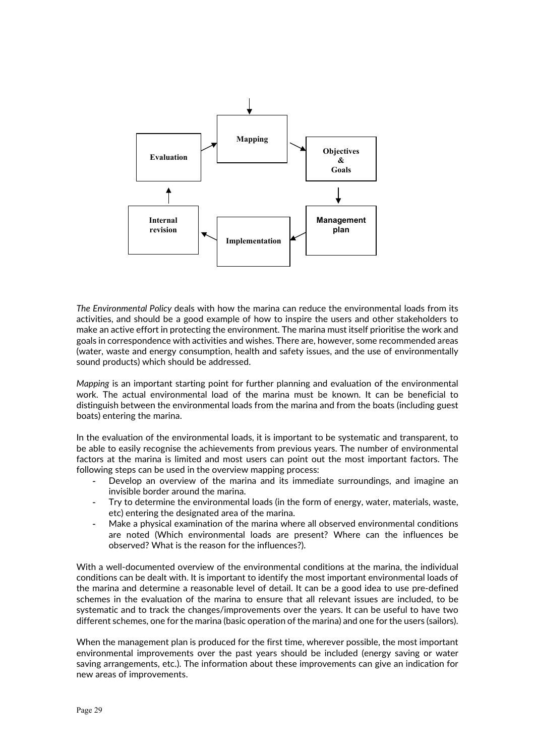

*The Environmental Policy* deals with how the marina can reduce the environmental loads from its activities, and should be a good example of how to inspire the users and other stakeholders to make an active effort in protecting the environment. The marina must itself prioritise the work and goals in correspondence with activities and wishes. There are, however, some recommended areas (water, waste and energy consumption, health and safety issues, and the use of environmentally sound products) which should be addressed.

*Mapping* is an important starting point for further planning and evaluation of the environmental work. The actual environmental load of the marina must be known. It can be beneficial to distinguish between the environmental loads from the marina and from the boats (including guest boats) entering the marina.

In the evaluation of the environmental loads, it is important to be systematic and transparent, to be able to easily recognise the achievements from previous years. The number of environmental factors at the marina is limited and most users can point out the most important factors. The following steps can be used in the overview mapping process:

- Develop an overview of the marina and its immediate surroundings, and imagine an invisible border around the marina.
- Try to determine the environmental loads (in the form of energy, water, materials, waste, etc) entering the designated area of the marina.
- Make a physical examination of the marina where all observed environmental conditions are noted (Which environmental loads are present? Where can the influences be observed? What is the reason for the influences?).

With a well-documented overview of the environmental conditions at the marina, the individual conditions can be dealt with. It is important to identify the most important environmental loads of the marina and determine a reasonable level of detail. It can be a good idea to use pre-defined schemes in the evaluation of the marina to ensure that all relevant issues are included, to be systematic and to track the changes/improvements over the years. It can be useful to have two different schemes, one for the marina (basic operation of the marina) and one for the users (sailors).

When the management plan is produced for the first time, wherever possible, the most important environmental improvements over the past years should be included (energy saving or water saving arrangements, etc.). The information about these improvements can give an indication for new areas of improvements.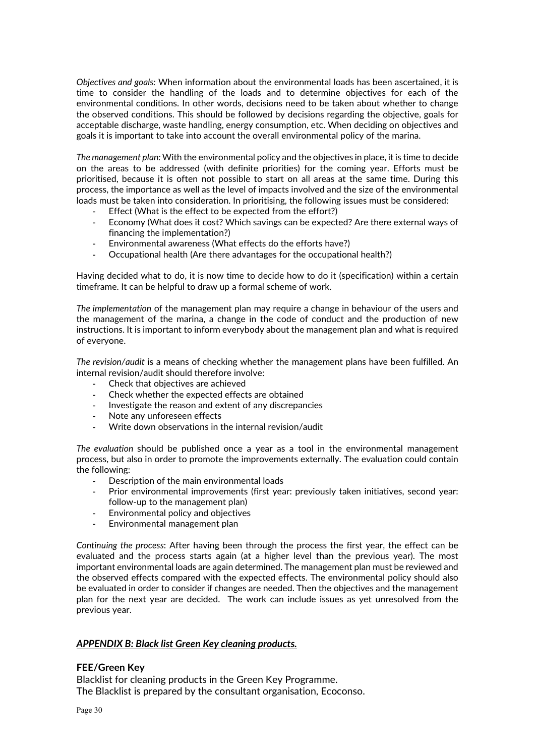*Objectives and goals:* When information about the environmental loads has been ascertained, it is time to consider the handling of the loads and to determine objectives for each of the environmental conditions. In other words, decisions need to be taken about whether to change the observed conditions. This should be followed by decisions regarding the objective, goals for acceptable discharge, waste handling, energy consumption, etc. When deciding on objectives and goals it is important to take into account the overall environmental policy of the marina.

*The management plan:* With the environmental policy and the objectives in place, it is time to decide on the areas to be addressed (with definite priorities) for the coming year. Efforts must be prioritised, because it is often not possible to start on all areas at the same time. During this process, the importance as well as the level of impacts involved and the size of the environmental loads must be taken into consideration. In prioritising, the following issues must be considered:

- Effect (What is the effect to be expected from the effort?)
- Economy (What does it cost? Which savings can be expected? Are there external ways of financing the implementation?)
- Environmental awareness (What effects do the efforts have?)
- Occupational health (Are there advantages for the occupational health?)

Having decided what to do, it is now time to decide how to do it (specification) within a certain timeframe. It can be helpful to draw up a formal scheme of work.

*The implementation* of the management plan may require a change in behaviour of the users and the management of the marina, a change in the code of conduct and the production of new instructions. It is important to inform everybody about the management plan and what is required of everyone.

*The revision/audit* is a means of checking whether the management plans have been fulfilled. An internal revision/audit should therefore involve:

- Check that objectives are achieved
- Check whether the expected effects are obtained
- Investigate the reason and extent of any discrepancies
- Note any unforeseen effects
- Write down observations in the internal revision/audit

*The evaluation* should be published once a year as a tool in the environmental management process, but also in order to promote the improvements externally. The evaluation could contain the following:

- Description of the main environmental loads
- Prior environmental improvements (first year: previously taken initiatives, second year: follow-up to the management plan)
- Environmental policy and objectives
- Environmental management plan

*Continuing the process*: After having been through the process the first year, the effect can be evaluated and the process starts again (at a higher level than the previous year). The most important environmental loads are again determined. The management plan must be reviewed and the observed effects compared with the expected effects. The environmental policy should also be evaluated in order to consider if changes are needed. Then the objectives and the management plan for the next year are decided. The work can include issues as yet unresolved from the previous year.

#### *APPENDIX B: Black list Green Key cleaning products.*

#### **FEE/Green Key**

Blacklist for cleaning products in the Green Key Programme. The Blacklist is prepared by the consultant organisation, Ecoconso.